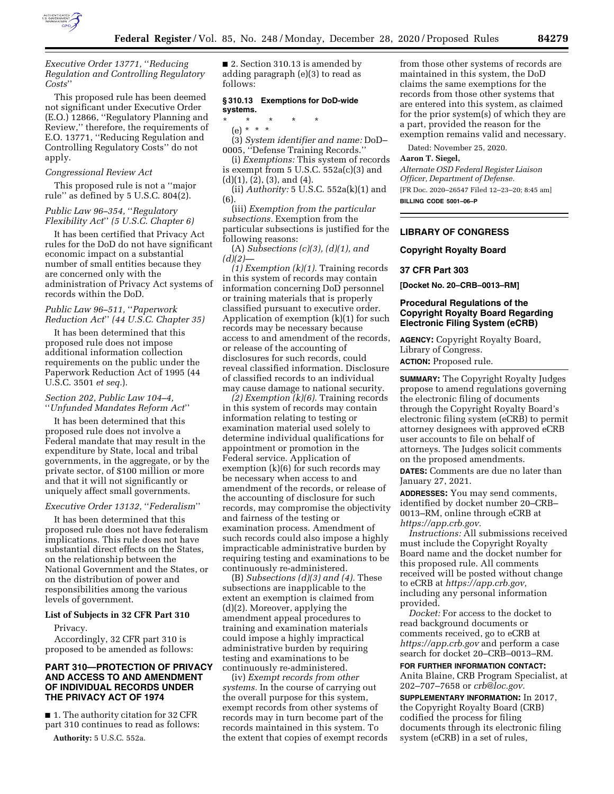

*Executive Order 13771,* ''*Reducing Regulation and Controlling Regulatory Costs*''

This proposed rule has been deemed not significant under Executive Order (E.O.) 12866, ''Regulatory Planning and Review,'' therefore, the requirements of E.O. 13771, ''Reducing Regulation and Controlling Regulatory Costs'' do not apply.

#### *Congressional Review Act*

This proposed rule is not a ''major rule'' as defined by 5 U.S.C. 804(2).

# *Public Law 96–354,* ''*Regulatory Flexibility Act*'' *(5 U.S.C. Chapter 6)*

It has been certified that Privacy Act rules for the DoD do not have significant economic impact on a substantial number of small entities because they are concerned only with the administration of Privacy Act systems of records within the DoD.

# *Public Law 96–511,* ''*Paperwork Reduction Act*'' *(44 U.S.C. Chapter 35)*

It has been determined that this proposed rule does not impose additional information collection requirements on the public under the Paperwork Reduction Act of 1995 (44 U.S.C. 3501 *et seq.*).

## *Section 202, Public Law 104–4,*  ''*Unfunded Mandates Reform Act*''

It has been determined that this proposed rule does not involve a Federal mandate that may result in the expenditure by State, local and tribal governments, in the aggregate, or by the private sector, of \$100 million or more and that it will not significantly or uniquely affect small governments.

# *Executive Order 13132,* ''*Federalism*''

It has been determined that this proposed rule does not have federalism implications. This rule does not have substantial direct effects on the States, on the relationship between the National Government and the States, or on the distribution of power and responsibilities among the various levels of government.

### **List of Subjects in 32 CFR Part 310**

#### Privacy.

Accordingly, 32 CFR part 310 is proposed to be amended as follows:

# **PART 310—PROTECTION OF PRIVACY AND ACCESS TO AND AMENDMENT OF INDIVIDUAL RECORDS UNDER THE PRIVACY ACT OF 1974**

■ 1. The authority citation for 32 CFR part 310 continues to read as follows:

**Authority:** 5 U.S.C. 552a.

■ 2. Section 310.13 is amended by adding paragraph (e)(3) to read as follows:

## **§ 310.13 Exemptions for DoD-wide systems.**

- \* \* \* \* \*
- (e) \* \* \*

(3) *System identifier and name:* DoD– 0005, ''Defense Training Records.''

(i) *Exemptions:* This system of records is exempt from 5 U.S.C. 552a(c)(3) and (d)(1), (2), (3), and (4).

(ii) *Authority:* 5 U.S.C. 552a(k)(1) and (6).

(iii) *Exemption from the particular subsections.* Exemption from the particular subsections is justified for the following reasons:

(A) *Subsections (c)(3), (d)(1), and*   $(d)(2)$ —

*(1) Exemption (k)(1).* Training records in this system of records may contain information concerning DoD personnel or training materials that is properly classified pursuant to executive order. Application of exemption (k)(1) for such records may be necessary because access to and amendment of the records, or release of the accounting of disclosures for such records, could reveal classified information. Disclosure of classified records to an individual may cause damage to national security.

*(2) Exemption (k)(6).* Training records in this system of records may contain information relating to testing or examination material used solely to determine individual qualifications for appointment or promotion in the Federal service. Application of exemption (k)(6) for such records may be necessary when access to and amendment of the records, or release of the accounting of disclosure for such records, may compromise the objectivity and fairness of the testing or examination process. Amendment of such records could also impose a highly impracticable administrative burden by requiring testing and examinations to be continuously re-administered.

(B) *Subsections (d)(3) and (4).* These subsections are inapplicable to the extent an exemption is claimed from (d)(2). Moreover, applying the amendment appeal procedures to training and examination materials could impose a highly impractical administrative burden by requiring testing and examinations to be continuously re-administered.

(iv) *Exempt records from other systems.* In the course of carrying out the overall purpose for this system, exempt records from other systems of records may in turn become part of the records maintained in this system. To the extent that copies of exempt records

from those other systems of records are maintained in this system, the DoD claims the same exemptions for the records from those other systems that are entered into this system, as claimed for the prior system(s) of which they are a part, provided the reason for the exemption remains valid and necessary.

Dated: November 25, 2020.

## **Aaron T. Siegel,**

*Alternate OSD Federal Register Liaison Officer, Department of Defense.*  [FR Doc. 2020–26547 Filed 12–23–20; 8:45 am]

**BILLING CODE 5001–06–P** 

## **LIBRARY OF CONGRESS**

#### **Copyright Royalty Board**

## **37 CFR Part 303**

**[Docket No. 20–CRB–0013–RM]** 

# **Procedural Regulations of the Copyright Royalty Board Regarding Electronic Filing System (eCRB)**

**AGENCY:** Copyright Royalty Board, Library of Congress. **ACTION:** Proposed rule.

**SUMMARY:** The Copyright Royalty Judges propose to amend regulations governing the electronic filing of documents through the Copyright Royalty Board's electronic filing system (eCRB) to permit attorney designees with approved eCRB user accounts to file on behalf of attorneys. The Judges solicit comments on the proposed amendments.

**DATES:** Comments are due no later than January 27, 2021.

**ADDRESSES:** You may send comments, identified by docket number 20–CRB– 0013–RM, online through eCRB at *https://app.crb.gov.* 

*Instructions:* All submissions received must include the Copyright Royalty Board name and the docket number for this proposed rule. All comments received will be posted without change to eCRB at *https://app.crb.gov,*  including any personal information provided.

*Docket:* For access to the docket to read background documents or comments received, go to eCRB at *https://app.crb.gov* and perform a case search for docket 20–CRB–0013–RM.

**FOR FURTHER INFORMATION CONTACT:**  Anita Blaine, CRB Program Specialist, at 202–707–7658 or *crb@loc.gov.* 

**SUPPLEMENTARY INFORMATION:** In 2017, the Copyright Royalty Board (CRB) codified the process for filing documents through its electronic filing system (eCRB) in a set of rules,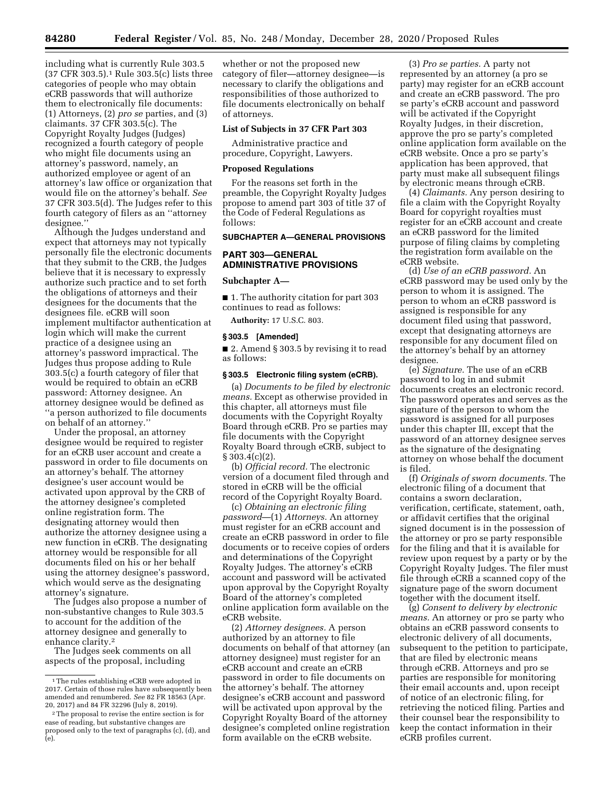including what is currently Rule 303.5 (37 CFR 303.5).1 Rule 303.5(c) lists three categories of people who may obtain eCRB passwords that will authorize them to electronically file documents: (1) Attorneys, (2) *pro se* parties, and (3) claimants. 37 CFR 303.5(c). The Copyright Royalty Judges (Judges) recognized a fourth category of people who might file documents using an attorney's password, namely, an authorized employee or agent of an attorney's law office or organization that would file on the attorney's behalf. *See*  37 CFR 303.5(d). The Judges refer to this fourth category of filers as an ''attorney designee.''

Although the Judges understand and expect that attorneys may not typically personally file the electronic documents that they submit to the CRB, the Judges believe that it is necessary to expressly authorize such practice and to set forth the obligations of attorneys and their designees for the documents that the designees file. eCRB will soon implement multifactor authentication at login which will make the current practice of a designee using an attorney's password impractical. The Judges thus propose adding to Rule 303.5(c) a fourth category of filer that would be required to obtain an eCRB password: Attorney designee. An attorney designee would be defined as ''a person authorized to file documents on behalf of an attorney.''

Under the proposal, an attorney designee would be required to register for an eCRB user account and create a password in order to file documents on an attorney's behalf. The attorney designee's user account would be activated upon approval by the CRB of the attorney designee's completed online registration form. The designating attorney would then authorize the attorney designee using a new function in eCRB. The designating attorney would be responsible for all documents filed on his or her behalf using the attorney designee's password, which would serve as the designating attorney's signature.

The Judges also propose a number of non-substantive changes to Rule 303.5 to account for the addition of the attorney designee and generally to enhance clarity.2

The Judges seek comments on all aspects of the proposal, including

whether or not the proposed new category of filer—attorney designee—is necessary to clarify the obligations and responsibilities of those authorized to file documents electronically on behalf of attorneys.

## **List of Subjects in 37 CFR Part 303**

Administrative practice and procedure, Copyright, Lawyers.

## **Proposed Regulations**

For the reasons set forth in the preamble, the Copyright Royalty Judges propose to amend part 303 of title 37 of the Code of Federal Regulations as follows:

## **SUBCHAPTER A—GENERAL PROVISIONS**

# **PART 303—GENERAL ADMINISTRATIVE PROVISIONS**

### **Subchapter A—**

■ 1. The authority citation for part 303 continues to read as follows:

**Authority:** 17 U.S.C. 803.

## **§ 303.5 [Amended]**

■ 2. Amend § 303.5 by revising it to read as follows:

#### **§ 303.5 Electronic filing system (eCRB).**

(a) *Documents to be filed by electronic means.* Except as otherwise provided in this chapter, all attorneys must file documents with the Copyright Royalty Board through eCRB. Pro se parties may file documents with the Copyright Royalty Board through eCRB, subject to  $§ 303.4(c)(2).$ 

(b) *Official record.* The electronic version of a document filed through and stored in eCRB will be the official record of the Copyright Royalty Board.

(c) *Obtaining an electronic filing password*—(1) *Attorneys.* An attorney must register for an eCRB account and create an eCRB password in order to file documents or to receive copies of orders and determinations of the Copyright Royalty Judges. The attorney's eCRB account and password will be activated upon approval by the Copyright Royalty Board of the attorney's completed online application form available on the eCRB website.

(2) *Attorney designees.* A person authorized by an attorney to file documents on behalf of that attorney (an attorney designee) must register for an eCRB account and create an eCRB password in order to file documents on the attorney's behalf. The attorney designee's eCRB account and password will be activated upon approval by the Copyright Royalty Board of the attorney designee's completed online registration form available on the eCRB website.

(3) *Pro se parties.* A party not represented by an attorney (a pro se party) may register for an eCRB account and create an eCRB password. The pro se party's eCRB account and password will be activated if the Copyright Royalty Judges, in their discretion, approve the pro se party's completed online application form available on the eCRB website. Once a pro se party's application has been approved, that party must make all subsequent filings by electronic means through eCRB.

(4) *Claimants.* Any person desiring to file a claim with the Copyright Royalty Board for copyright royalties must register for an eCRB account and create an eCRB password for the limited purpose of filing claims by completing the registration form available on the eCRB website.

(d) *Use of an eCRB password.* An eCRB password may be used only by the person to whom it is assigned. The person to whom an eCRB password is assigned is responsible for any document filed using that password, except that designating attorneys are responsible for any document filed on the attorney's behalf by an attorney designee.

(e) *Signature.* The use of an eCRB password to log in and submit documents creates an electronic record. The password operates and serves as the signature of the person to whom the password is assigned for all purposes under this chapter III, except that the password of an attorney designee serves as the signature of the designating attorney on whose behalf the document is filed.

(f) *Originals of sworn documents.* The electronic filing of a document that contains a sworn declaration, verification, certificate, statement, oath, or affidavit certifies that the original signed document is in the possession of the attorney or pro se party responsible for the filing and that it is available for review upon request by a party or by the Copyright Royalty Judges. The filer must file through eCRB a scanned copy of the signature page of the sworn document together with the document itself.

(g) *Consent to delivery by electronic means.* An attorney or pro se party who obtains an eCRB password consents to electronic delivery of all documents, subsequent to the petition to participate, that are filed by electronic means through eCRB. Attorneys and pro se parties are responsible for monitoring their email accounts and, upon receipt of notice of an electronic filing, for retrieving the noticed filing. Parties and their counsel bear the responsibility to keep the contact information in their eCRB profiles current.

<sup>1</sup>The rules establishing eCRB were adopted in 2017. Certain of those rules have subsequently been amended and renumbered. *See* 82 FR 18563 (Apr. 20, 2017) and 84 FR 32296 (July 8, 2019).

<sup>2</sup>The proposal to revise the entire section is for ease of reading, but substantive changes are proposed only to the text of paragraphs (c), (d), and (e).